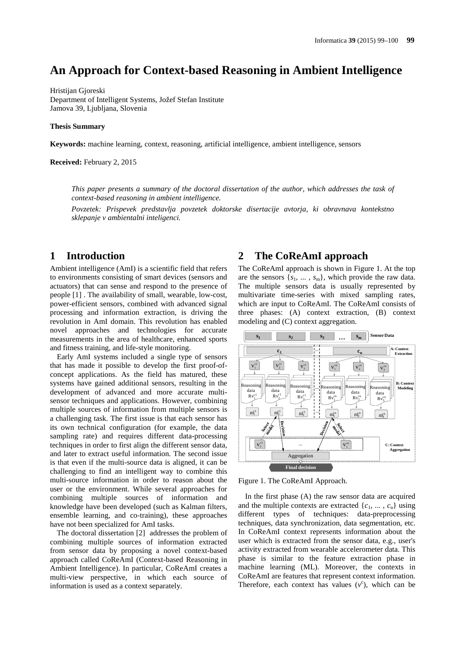# **An Approach for Context-based Reasoning in Ambient Intelligence**

Hristijan Gjoreski Department of Intelligent Systems, Jožef Stefan Institute Jamova 39, Ljubljana, Slovenia

#### **Thesis Summary**

**Keywords:** machine learning, context, reasoning, artificial intelligence, ambient intelligence, sensors

**Received:** February 2, 2015

*This paper presents a summary of the doctoral dissertation of the author, which addresses the task of context-based reasoning in ambient intelligence.*

*Povzetek: Prispevek predstavlja povzetek doktorske disertacije avtorja, ki obravnava kontekstno sklepanje v ambientalni inteligenci.*

## **1 Introduction**

Ambient intelligence (AmI) is a scientific field that refers to environments consisting of smart devices (sensors and actuators) that can sense and respond to the presence of people [1] . The availability of small, wearable, low-cost, power-efficient sensors, combined with advanced signal processing and information extraction, is driving the revolution in AmI domain. This revolution has enabled novel approaches and technologies for accurate measurements in the area of healthcare, enhanced sports and fitness training, and life-style monitoring.

Early AmI systems included a single type of sensors that has made it possible to develop the first proof-of concept applications. As the field has matured, these systems have gained additional sensors, resulting in the development of advanced and more accurate multi sensor techniques and applications. However, combining multiple sources of information from multiple sensors is a challenging task. The first issue is that each sensor has its own technical configuration (for example, the data sampling rate) and requires different data-processing techniques in order to first align the different sensor data, and later to extract useful information. The second issue is that even if the multi-source data is aligned, it can be challenging to find an intelligent way to combine this multi-source information in order to reason about the user or the environment. While several approaches for combining multiple sources of information and knowledge have been developed (such as Kalman filters, ensemble learning, and co-training), these approaches have not been specialized for AmI tasks.

The doctoral dissertation [2] addresses the problem of combining multiple sources of information extracted from sensor data by proposing a novel context-based approach called CoReAmI (Context-based Reasoning in Ambient Intelligence). In particular, CoReAmI creates a multi-view perspective, in which each source of information is used as a context separately.

### **2 The CoReAmI approach**

The CoReAmI approach is shown in Figure 1. At the top are the sensors  $\{s_1, \ldots, s_m\}$ , which provide the raw data. The multiple sensors data is usually represented by multivariate time-series with mixed sampling rates, which are input to CoReAmI. The CoReAmI consists of three phases: (A) context extraction, (B) context modeling and (C) context aggregation.



Figure 1. The CoReAmI Approach.

In the first phase (A) the raw sensor data are acquired and the multiple contexts are extracted  $\{c_1, \ldots, c_n\}$  using different types of techniques: data-preprocessing techniques, data synchronization, data segmentation, etc. In CoReAmI context represents information about the user which is extracted from the sensor data, e.g., user's activity extracted from wearable accelerometer data. This phase is similar to the feature extraction phase in machine learning (ML). Moreover, the contexts in CoReAmI are features that represent context information. Therefore, each context has values  $(v^c)$ , which can be